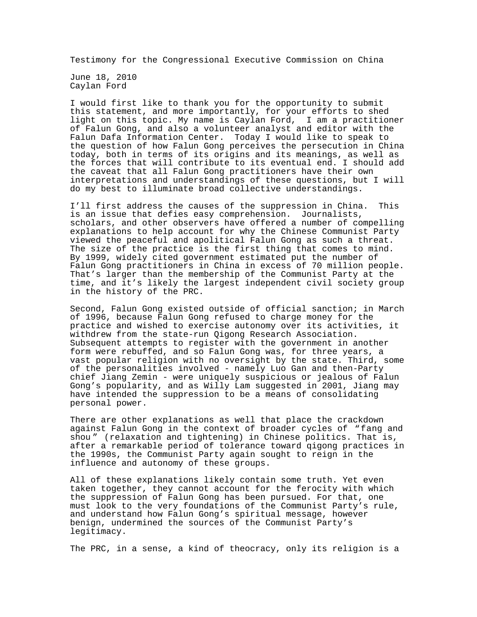Testimony for the Congressional Executive Commission on China

June 18, 2010 Caylan Ford

I would first like to thank you for the opportunity to submit this statement, and more importantly, for your efforts to shed light on this topic. My name is Caylan Ford, I am a practitioner of Falun Gong, and also a volunteer analyst and editor with the Falun Dafa Information Center. Today I would like to speak to the question of how Falun Gong perceives the persecution in China today, both in terms of its origins and its meanings, as well as the forces that will contribute to its eventual end. I should add the caveat that all Falun Gong practitioners have their own interpretations and understandings of these questions, but I will do my best to illuminate broad collective understandings.

I'll first address the causes of the suppression in China. This is an issue that defies easy comprehension. Journalists, scholars, and other observers have offered a number of compelling explanations to help account for why the Chinese Communist Party viewed the peaceful and apolitical Falun Gong as such a threat. The size of the practice is the first thing that comes to mind. By 1999, widely cited government estimated put the number of Falun Gong practitioners in China in excess of 70 million people. That's larger than the membership of the Communist Party at the time, and it's likely the largest independent civil society group in the history of the PRC.

Second, Falun Gong existed outside of official sanction; in March of 1996, because Falun Gong refused to charge money for the practice and wished to exercise autonomy over its activities, it withdrew from the state-run Qigong Research Association. Subsequent attempts to register with the government in another form were rebuffed, and so Falun Gong was, for three years, a vast popular religion with no oversight by the state. Third, some of the personalities involved - namely Luo Gan and then-Party chief Jiang Zemin - were uniquely suspicious or jealous of Falun Gong's popularity, and as Willy Lam suggested in 2001, Jiang may have intended the suppression to be a means of consolidating personal power.

There are other explanations as well that place the crackdown against Falun Gong in the context of broader cycles of "fang and shou " (relaxation and tightening) in Chinese politics. That is, after a remarkable period of tolerance toward qigong practices in the 1990s, the Communist Party again sought to reign in the influence and autonomy of these groups.

All of these explanations likely contain some truth. Yet even taken together, they cannot account for the ferocity with which the suppression of Falun Gong has been pursued. For that, one must look to the very foundations of the Communist Party's rule, and understand how Falun Gong's spiritual message, however benign, undermined the sources of the Communist Party's legitimacy.

The PRC, in a sense, a kind of theocracy, only its religion is a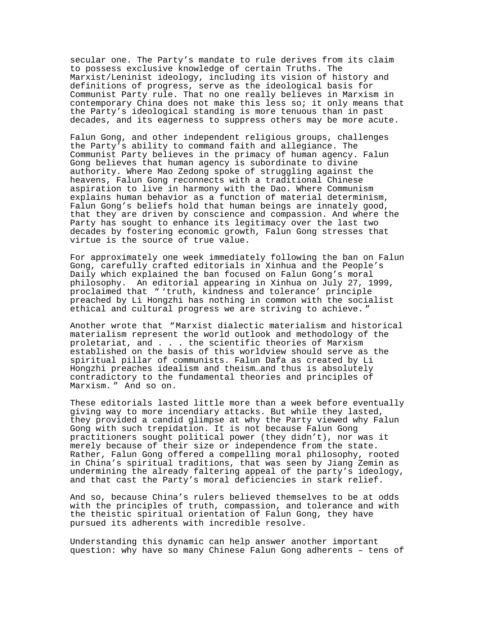secular one. The Party's mandate to rule derives from its claim to possess exclusive knowledge of certain Truths. The Marxist/Leninist ideology, including its vision of history and definitions of progress, serve as the ideological basis for Communist Party rule. That no one really believes in Marxism in contemporary China does not make this less so; it only means that the Party's ideological standing is more tenuous than in past decades, and its eagerness to suppress others may be more acute.

Falun Gong, and other independent religious groups, challenges the Party's ability to command faith and allegiance. The Communist Party believes in the primacy of human agency. Falun Gong believes that human agency is subordinate to divine authority. Where Mao Zedong spoke of struggling against the heavens, Falun Gong reconnects with a traditional Chinese aspiration to live in harmony with the Dao. Where Communism explains human behavior as a function of material determinism, Falun Gong's beliefs hold that human beings are innately good, that they are driven by conscience and compassion. And where the Party has sought to enhance its legitimacy over the last two decades by fostering economic growth, Falun Gong stresses that virtue is the source of true value.

For approximately one week immediately following the ban on Falun Gong, carefully crafted editorials in Xinhua and the People's Daily which explained the ban focused on Falun Gong's moral philosophy. An editorial appearing in Xinhua on July 27, 1999, proclaimed that " 'truth, kindness and tolerance' principle preached by Li Hongzhi has nothing in common with the socialist ethical and cultural progress we are striving to achieve. "

Another wrote that "Marxist dialectic materialism and historical materialism represent the world outlook and methodology of the proletariat, and . . . the scientific theories of Marxism established on the basis of this worldview should serve as the spiritual pillar of communists. Falun Dafa as created by Li Hongzhi preaches idealism and theism…and thus is absolutely contradictory to the fundamental theories and principles of Marxism. " And so on.

These editorials lasted little more than a week before eventually giving way to more incendiary attacks. But while they lasted, they provided a candid glimpse at why the Party viewed why Falun Gong with such trepidation. It is not because Falun Gong practitioners sought political power (they didn't), nor was it merely because of their size or independence from the state. Rather, Falun Gong offered a compelling moral philosophy, rooted in China's spiritual traditions, that was seen by Jiang Zemin as undermining the already faltering appeal of the party's ideology, and that cast the Party's moral deficiencies in stark relief.

And so, because China's rulers believed themselves to be at odds with the principles of truth, compassion, and tolerance and with the theistic spiritual orientation of Falun Gong, they have pursued its adherents with incredible resolve.

Understanding this dynamic can help answer another important question: why have so many Chinese Falun Gong adherents – tens of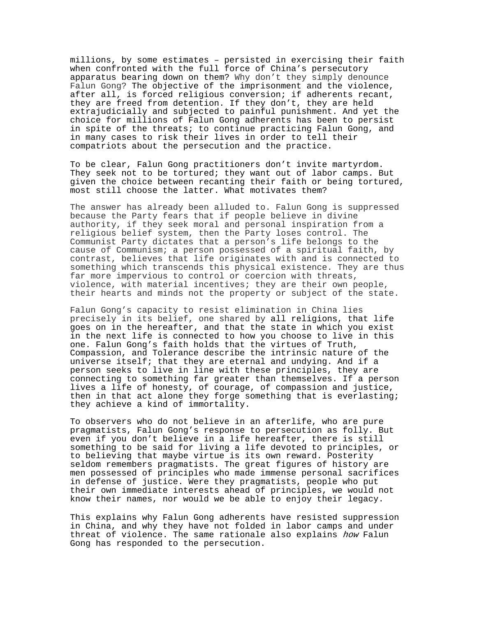millions, by some estimates – persisted in exercising their faith when confronted with the full force of China's persecutory apparatus bearing down on them? Why don't they simply denounce Falun Gong? The objective of the imprisonment and the violence, after all, is forced religious conversion; if adherents recant, they are freed from detention. If they don't, they are held extrajudicially and subjected to painful punishment. And yet the choice for millions of Falun Gong adherents has been to persist in spite of the threats; to continue practicing Falun Gong, and in many cases to risk their lives in order to tell their compatriots about the persecution and the practice.

To be clear, Falun Gong practitioners don't invite martyrdom. They seek not to be tortured; they want out of labor camps. But given the choice between recanting their faith or being tortured, most still choose the latter. What motivates them?

The answer has already been alluded to. Falun Gong is suppressed because the Party fears that if people believe in divine authority, if they seek moral and personal inspiration from a religious belief system, then the Party loses control. The Communist Party dictates that a person's life belongs to the cause of Communism; a person possessed of a spiritual faith, by contrast, believes that life originates with and is connected to something which transcends this physical existence. They are thus far more impervious to control or coercion with threats, violence, with material incentives; they are their own people, their hearts and minds not the property or subject of the state.

Falun Gong's capacity to resist elimination in China lies precisely in its belief, one shared by all religions, that life goes on in the hereafter, and that the state in which you exist in the next life is connected to how you choose to live in this one. Falun Gong's faith holds that the virtues of Truth, Compassion, and Tolerance describe the intrinsic nature of the universe itself; that they are eternal and undying. And if a person seeks to live in line with these principles, they are connecting to something far greater than themselves. If a person lives a life of honesty, of courage, of compassion and justice, then in that act alone they forge something that is everlasting; they achieve a kind of immortality.

To observers who do not believe in an afterlife, who are pure pragmatists, Falun Gong's response to persecution as folly. But even if you don't believe in a life hereafter, there is still something to be said for living a life devoted to principles, or to believing that maybe virtue is its own reward. Posterity seldom remembers pragmatists. The great figures of history are men possessed of principles who made immense personal sacrifices in defense of justice. Were they pragmatists, people who put their own immediate interests ahead of principles, we would not know their names, nor would we be able to enjoy their legacy.

This explains why Falun Gong adherents have resisted suppression in China, and why they have not folded in labor camps and under threat of violence. The same rationale also explains how Falun Gong has responded to the persecution.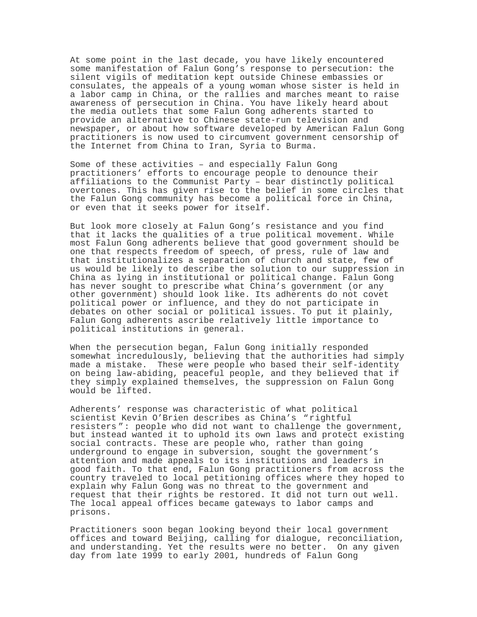At some point in the last decade, you have likely encountered some manifestation of Falun Gong's response to persecution: the silent vigils of meditation kept outside Chinese embassies or consulates, the appeals of a young woman whose sister is held in a labor camp in China, or the rallies and marches meant to raise awareness of persecution in China. You have likely heard about the media outlets that some Falun Gong adherents started to provide an alternative to Chinese state-run television and newspaper, or about how software developed by American Falun Gong practitioners is now used to circumvent government censorship of the Internet from China to Iran, Syria to Burma.

Some of these activities – and especially Falun Gong practitioners' efforts to encourage people to denounce their affiliations to the Communist Party – bear distinctly political overtones. This has given rise to the belief in some circles that the Falun Gong community has become a political force in China, or even that it seeks power for itself.

But look more closely at Falun Gong's resistance and you find that it lacks the qualities of a true political movement. While most Falun Gong adherents believe that good government should be one that respects freedom of speech, of press, rule of law and that institutionalizes a separation of church and state, few of us would be likely to describe the solution to our suppression in China as lying in institutional or political change. Falun Gong has never sought to prescribe what China's government (or any other government) should look like. Its adherents do not covet political power or influence, and they do not participate in debates on other social or political issues. To put it plainly, Falun Gong adherents ascribe relatively little importance to political institutions in general.

When the persecution began, Falun Gong initially responded somewhat incredulously, believing that the authorities had simply made a mistake. These were people who based their self-identity on being law-abiding, peaceful people, and they believed that if they simply explained themselves, the suppression on Falun Gong would be lifted.

Adherents' response was characteristic of what political scientist Kevin O'Brien describes as China's "rightful resisters ": people who did not want to challenge the government, but instead wanted it to uphold its own laws and protect existing social contracts. These are people who, rather than going underground to engage in subversion, sought the government's attention and made appeals to its institutions and leaders in good faith. To that end, Falun Gong practitioners from across the country traveled to local petitioning offices where they hoped to explain why Falun Gong was no threat to the government and request that their rights be restored. It did not turn out well. The local appeal offices became gateways to labor camps and prisons.

Practitioners soon began looking beyond their local government offices and toward Beijing, calling for dialogue, reconciliation, and understanding. Yet the results were no better. On any given day from late 1999 to early 2001, hundreds of Falun Gong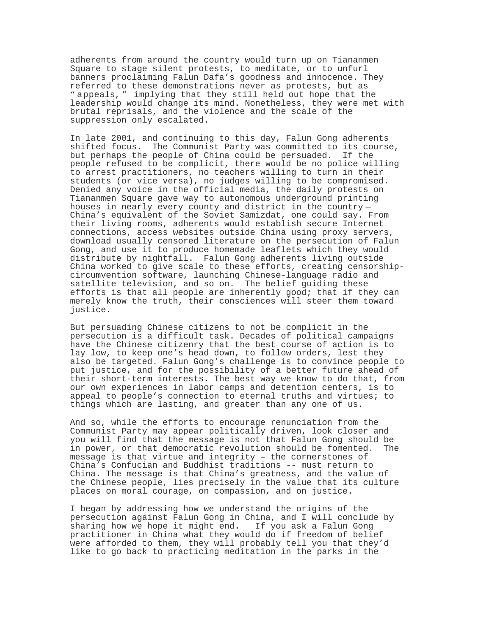adherents from around the country would turn up on Tiananmen Square to stage silent protests, to meditate, or to unfurl banners proclaiming Falun Dafa's goodness and innocence. They referred to these demonstrations never as protests, but as " appeals, " implying that they still held out hope that the leadership would change its mind. Nonetheless, they were met with brutal reprisals, and the violence and the scale of the suppression only escalated.

In late 2001, and continuing to this day, Falun Gong adherents shifted focus. The Communist Party was committed to its course, but perhaps the people of China could be persuaded. If the people refused to be complicit, there would be no police willing to arrest practitioners, no teachers willing to turn in their students (or vice versa), no judges willing to be compromised. Denied any voice in the official media, the daily protests on Tiananmen Square gave way to autonomous underground printing<br>houses in nearly every county and district in the country-China's equivalent of the Soviet Samizdat, one could say. From their living rooms, adherents would establish secure Internet connections, access websites outside China using proxy servers, download usually censored literature on the persecution of Falun Gong, and use it to produce homemade leaflets which they would distribute by nightfall. Falun Gong adherents living outside China worked to give scale to these efforts, creating censorshipcircumvention software, launching Chinese-language radio and satellite television, and so on. The belief guiding these efforts is that all people are inherently good; that if they can merely know the truth, their consciences will steer them toward justice.

But persuading Chinese citizens to not be complicit in the persecution is a difficult task. Decades of political campaigns have the Chinese citizenry that the best course of action is to lay low, to keep one's head down, to follow orders, lest they also be targeted. Falun Gong's challenge is to convince people to put justice, and for the possibility of a better future ahead of their short-term interests. The best way we know to do that, from our own experiences in labor camps and detention centers, is to appeal to people's connection to eternal truths and virtues; to things which are lasting, and greater than any one of us.

And so, while the efforts to encourage renunciation from the Communist Party may appear politically driven, look closer and you will find that the message is not that Falun Gong should be in power, or that democratic revolution should be fomented. The message is that virtue and integrity – the cornerstones of China's Confucian and Buddhist traditions -- must return to China. The message is that China's greatness, and the value of the Chinese people, lies precisely in the value that its culture places on moral courage, on compassion, and on justice.

I began by addressing how we understand the origins of the persecution against Falun Gong in China, and I will conclude by sharing how we hope it might end. If you ask a Falun Gong practitioner in China what they would do if freedom of belief were afforded to them, they will probably tell you that they'd like to go back to practicing meditation in the parks in the